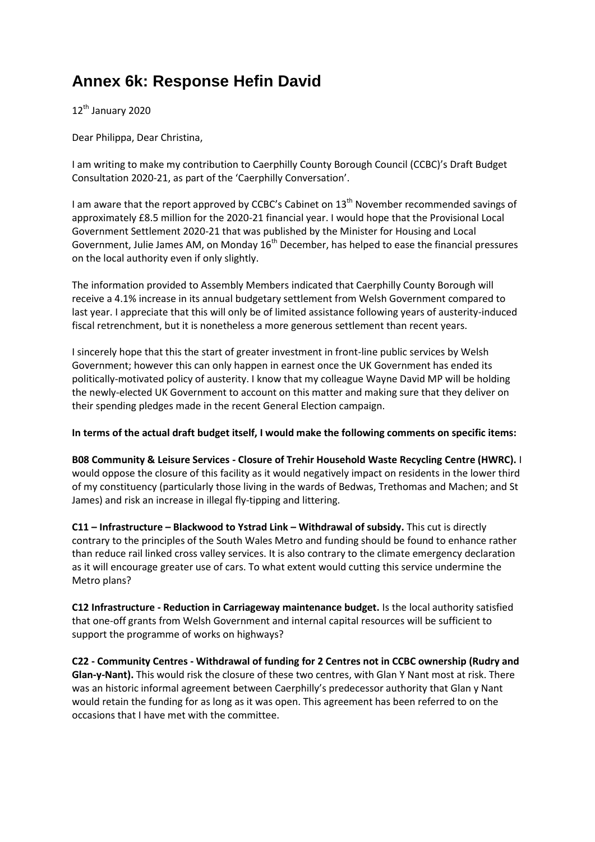## **Annex 6k: Response Hefin David**

12<sup>th</sup> January 2020

Dear Philippa, Dear Christina,

I am writing to make my contribution to Caerphilly County Borough Council (CCBC)'s Draft Budget Consultation 2020-21, as part of the 'Caerphilly Conversation'.

I am aware that the report approved by CCBC's Cabinet on  $13<sup>th</sup>$  November recommended savings of approximately £8.5 million for the 2020-21 financial year. I would hope that the Provisional Local Government Settlement 2020-21 that was published by the Minister for Housing and Local Government, Julie James AM, on Monday 16<sup>th</sup> December, has helped to ease the financial pressures on the local authority even if only slightly.

The information provided to Assembly Members indicated that Caerphilly County Borough will receive a 4.1% increase in its annual budgetary settlement from Welsh Government compared to last year. I appreciate that this will only be of limited assistance following years of austerity-induced fiscal retrenchment, but it is nonetheless a more generous settlement than recent years.

I sincerely hope that this the start of greater investment in front-line public services by Welsh Government; however this can only happen in earnest once the UK Government has ended its politically-motivated policy of austerity. I know that my colleague Wayne David MP will be holding the newly-elected UK Government to account on this matter and making sure that they deliver on their spending pledges made in the recent General Election campaign.

**In terms of the actual draft budget itself, I would make the following comments on specific items:**

**B08 Community & Leisure Services - Closure of Trehir Household Waste Recycling Centre (HWRC).** I would oppose the closure of this facility as it would negatively impact on residents in the lower third of my constituency (particularly those living in the wards of Bedwas, Trethomas and Machen; and St James) and risk an increase in illegal fly-tipping and littering.

**C11 – Infrastructure – Blackwood to Ystrad Link – Withdrawal of subsidy.** This cut is directly contrary to the principles of the South Wales Metro and funding should be found to enhance rather than reduce rail linked cross valley services. It is also contrary to the climate emergency declaration as it will encourage greater use of cars. To what extent would cutting this service undermine the Metro plans?

**C12 Infrastructure - Reduction in Carriageway maintenance budget.** Is the local authority satisfied that one-off grants from Welsh Government and internal capital resources will be sufficient to support the programme of works on highways?

**C22 - Community Centres - Withdrawal of funding for 2 Centres not in CCBC ownership (Rudry and Glan-y-Nant).** This would risk the closure of these two centres, with Glan Y Nant most at risk. There was an historic informal agreement between Caerphilly's predecessor authority that Glan y Nant would retain the funding for as long as it was open. This agreement has been referred to on the occasions that I have met with the committee.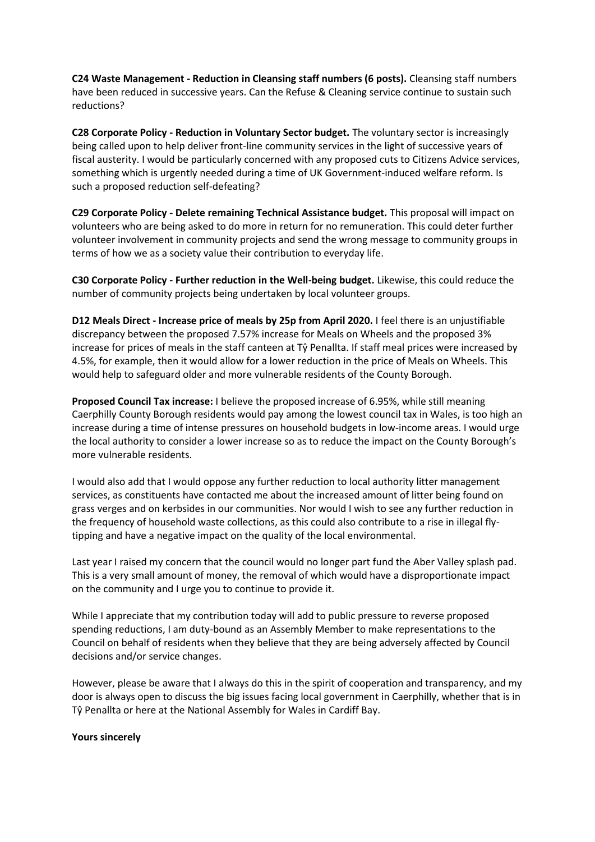**C24 Waste Management - Reduction in Cleansing staff numbers (6 posts).** Cleansing staff numbers have been reduced in successive years. Can the Refuse & Cleaning service continue to sustain such reductions?

**C28 Corporate Policy - Reduction in Voluntary Sector budget.** The voluntary sector is increasingly being called upon to help deliver front-line community services in the light of successive years of fiscal austerity. I would be particularly concerned with any proposed cuts to Citizens Advice services, something which is urgently needed during a time of UK Government-induced welfare reform. Is such a proposed reduction self-defeating?

**C29 Corporate Policy - Delete remaining Technical Assistance budget.** This proposal will impact on volunteers who are being asked to do more in return for no remuneration. This could deter further volunteer involvement in community projects and send the wrong message to community groups in terms of how we as a society value their contribution to everyday life.

**C30 Corporate Policy - Further reduction in the Well-being budget.** Likewise, this could reduce the number of community projects being undertaken by local volunteer groups.

**D12 Meals Direct - Increase price of meals by 25p from April 2020.** I feel there is an unjustifiable discrepancy between the proposed 7.57% increase for Meals on Wheels and the proposed 3% increase for prices of meals in the staff canteen at Tŷ Penallta. If staff meal prices were increased by 4.5%, for example, then it would allow for a lower reduction in the price of Meals on Wheels. This would help to safeguard older and more vulnerable residents of the County Borough.

**Proposed Council Tax increase:** I believe the proposed increase of 6.95%, while still meaning Caerphilly County Borough residents would pay among the lowest council tax in Wales, is too high an increase during a time of intense pressures on household budgets in low-income areas. I would urge the local authority to consider a lower increase so as to reduce the impact on the County Borough's more vulnerable residents.

I would also add that I would oppose any further reduction to local authority litter management services, as constituents have contacted me about the increased amount of litter being found on grass verges and on kerbsides in our communities. Nor would I wish to see any further reduction in the frequency of household waste collections, as this could also contribute to a rise in illegal flytipping and have a negative impact on the quality of the local environmental.

Last year I raised my concern that the council would no longer part fund the Aber Valley splash pad. This is a very small amount of money, the removal of which would have a disproportionate impact on the community and I urge you to continue to provide it.

While I appreciate that my contribution today will add to public pressure to reverse proposed spending reductions, I am duty-bound as an Assembly Member to make representations to the Council on behalf of residents when they believe that they are being adversely affected by Council decisions and/or service changes.

However, please be aware that I always do this in the spirit of cooperation and transparency, and my door is always open to discuss the big issues facing local government in Caerphilly, whether that is in Tŷ Penallta or here at the National Assembly for Wales in Cardiff Bay.

## **Yours sincerely**